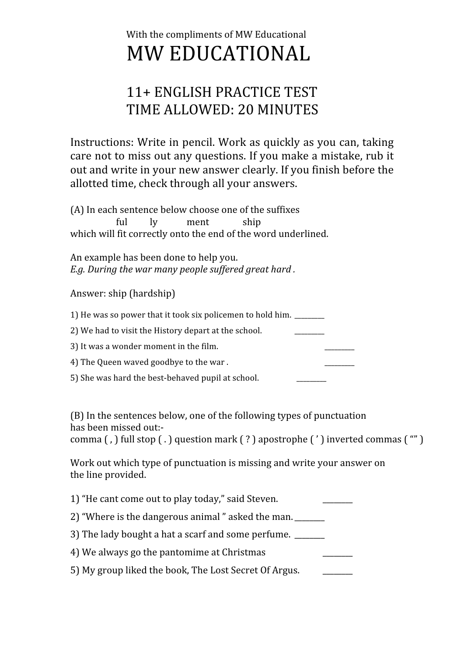## With the compliments of MW Educational MW
EDUCATIONAL

## 11+
ENGLISH
PRACTICE
TEST TIME
ALLOWED:
20
MINUTES

Instructions:
Write
in
pencil.
Work
as
quickly
as
you
can,
taking care
not
to
miss
out
any
questions.
If
you
make
a
mistake,
rub
it out
and
write
in
your
new
answer
clearly.
If
you
finish
before
the allotted
time,
check
through
all
your
answers.

(A)
In
each
sentence
below
choose
one
of
the
suffixes ful ly ment ship which will fit correctly onto the end of the word underlined.

An
example
has
been
done
to
help
you. *E.g.
During
the
war
many
people
suffered
great
hard
.*

## Answer:
ship
(hardship)

1) He was so power that it took six policemen to hold him. \_\_\_\_\_\_\_\_ 2) We had to visit the History depart at the school. 3) It was a wonder moment in the film. 4) The Queen waved goodbye to the war. 5) She was hard the best-behaved pupil at school.

(B)
In
the
sentences
below,
one
of
the
following
types
of
punctuation has
been
missed
out:‐

comma (,) full stop (,) question mark (?) apostrophe (') inverted commas ("")

Work out which type of punctuation is missing and write your answer on the
line
provided.

| 1) "He cant come out to play today," said Steven.        |  |
|----------------------------------------------------------|--|
| 2) "Where is the dangerous animal" asked the man.        |  |
| 3) The lady bought a hat a scarf and some perfume. _____ |  |
| 4) We always go the pantomime at Christmas               |  |
| 5) My group liked the book, The Lost Secret Of Argus.    |  |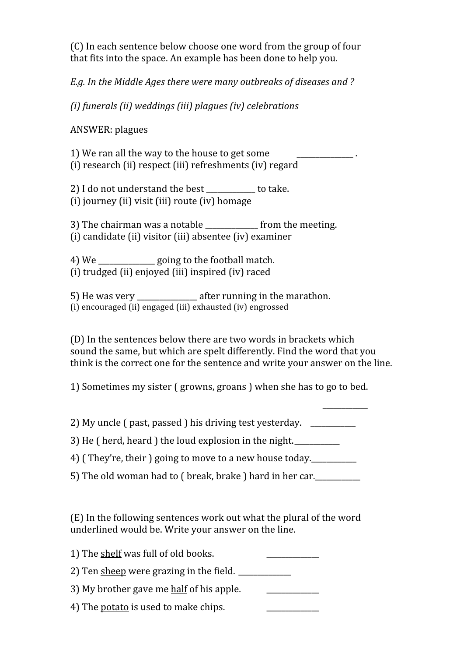(C)
In
each
sentence
below
choose
one
word
from
the
group
of
four that
fits
into
the
space.
An
example
has
been
done
to
help
you.

*E.g.
In
the
Middle
Ages
there
were
many
outbreaks
of
diseases
and
?*

*(i)
funerals
(ii)
weddings
(iii)
plagues
(iv)
celebrations*

ANSWER:
plagues

1) We ran all the way to the house to get some (i) research (ii) respect (iii) refreshments (iv) regard

2)
I
do
not
understand
the
best
\_\_\_\_\_\_\_\_\_\_\_\_\_
to
take. (i)
journey
(ii)
visit
(iii)
route
(iv)
homage

3)
The
chairman
was
a
notable
\_\_\_\_\_\_\_\_\_\_\_\_\_\_
from
the
meeting. (i)
candidate
(ii)
visitor
(iii)
absentee
(iv)
examiner

4)
We
\_\_\_\_\_\_\_\_\_\_\_\_\_\_\_
going
to
the
football
match. (i)
trudged
(ii)
enjoyed
(iii)
inspired
(iv)
raced

5) He was very such after running in the marathon. (i) encouraged (ii) engaged (iii) exhausted (iv) engrossed

(D)
In
the
sentences
below
there
are
two
words
in
brackets
which sound
the
same,
but
which
are
spelt
differently.
Find
the
word
that
you think is the correct one for the sentence and write your answer on the line.

\_\_\_\_\_\_\_\_\_\_\_\_

1)
Sometimes
my
sister
(
growns,
groans
)
when
she
has
to
go
to
bed.

2)
My
uncle
(
past,
passed
)
his
driving
test
yesterday.

\_\_\_\_\_\_\_\_\_\_\_\_

3) He (herd, heard) the loud explosion in the night.

4)
(
They're,
their
)
going
to
move
to
a
new
house
today.\_\_\_\_\_\_\_\_\_\_\_\_

5) The old woman had to ( break, brake ) hard in her car.

(E)
In
the
following
sentences
work
out
what
the
plural
of
the
word underlined
would
be.
Write
your
answer
on
the
line.

1) The shelf was full of old books. 2) Ten sheep were grazing in the field. \_\_\_\_\_\_\_\_\_\_\_\_\_\_ 3)
My
brother
gave
me
half
of
his
apple. \_\_\_\_\_\_\_\_\_\_\_\_\_\_

4) The potato is used to make chips.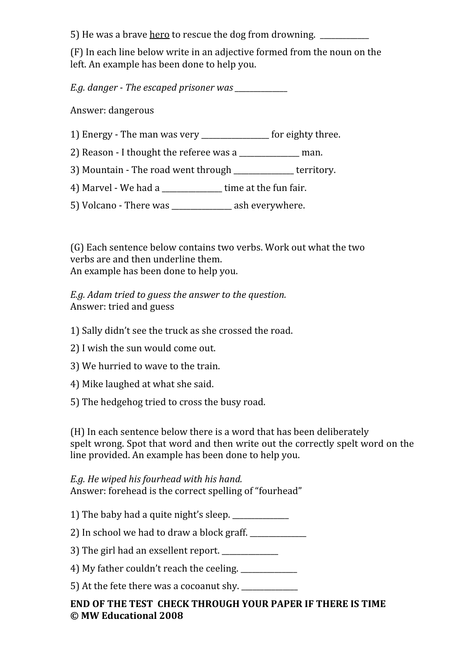5) He was a brave <u>hero</u> to rescue the dog from drowning.

(F)
In
each
line
below
write
in
an
adjective
formed
from
the
noun
on
the left.
An
example
has
been
done
to
help
you.

*E.g.
danger

The
escaped
prisoner
was
\_\_\_\_\_\_\_\_\_\_\_\_\_\_*

Answer:
dangerous

- 1)
Energy
‐
The
man
was
very
\_\_\_\_\_\_\_\_\_\_\_\_\_\_\_\_\_\_
for
eighty
three.
- 2) Reason I thought the referee was a \_\_\_\_\_\_\_\_\_\_\_\_\_ man.
- 3) Mountain The road went through \_\_\_\_\_\_\_\_\_\_\_\_\_\_\_territory.
- 4) Marvel We had a \_\_\_\_\_\_\_\_\_\_\_\_\_\_\_\_ time at the fun fair.
- 5)
Volcano
‐
There
was
\_\_\_\_\_\_\_\_\_\_\_\_\_\_\_\_
ash
everywhere.

(G)
Each
sentence
below
contains
two
verbs.
Work
out
what
the
two verbs
are
and
then
underline
them. An
example
has
been
done
to
help
you.

*E.g.
Adam
tried
to
guess
the
answer
to
the
question.* Answer:
tried
and
guess

- 1)
Sally
didn't
see
the
truck
as
she
crossed
the
road.
- 2)
I
wish
the
sun
would
come
out.
- 3)
We
hurried
to
wave
to
the
train.
- 4)
Mike
laughed
at
what
she
said.
- 5)
The
hedgehog
tried
to
cross
the
busy
road.

(H)
In
each
sentence
below
there
is
a
word
that
has
been
deliberately spelt wrong. Spot that word and then write out the correctly spelt word on the line
provided.
An
example
has
been
done
to
help
you.

*E.g.
He
wiped
his
fourhead
with
his
hand.* Answer:
forehead
is
the
correct
spelling
of
"fourhead"

- 1)
The
baby
had
a
quite
night's
sleep.
\_\_\_\_\_\_\_\_\_\_\_\_\_\_\_
- 2) In school we had to draw a block graff.
- 3) The girl had an exsellent report.
- 4)
My
father
couldn't
reach
the
ceeling.
\_\_\_\_\_\_\_\_\_\_\_\_\_\_\_

5)
At
the
fete
there
was
a
cocoanut
shy.
\_\_\_\_\_\_\_\_\_\_\_\_\_\_\_

## END OF THE TEST CHECK THROUGH YOUR PAPER IF THERE IS TIME **©
MW
Educational
2008**